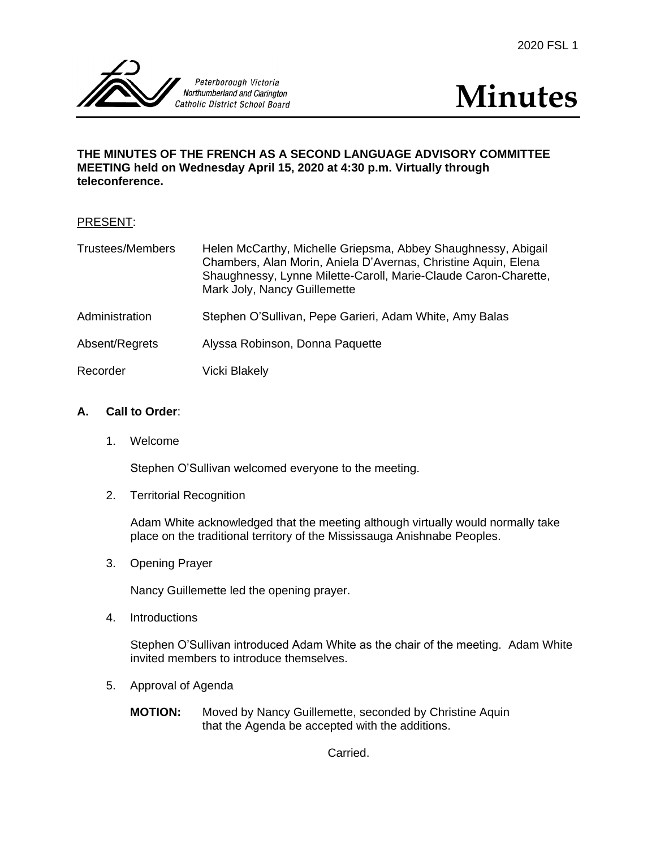



## **THE MINUTES OF THE FRENCH AS A SECOND LANGUAGE ADVISORY COMMITTEE MEETING held on Wednesday April 15, 2020 at 4:30 p.m. Virtually through teleconference.**

| <b>PRESENT:</b> |  |
|-----------------|--|
|                 |  |

| <b>Trustees/Members</b> | Helen McCarthy, Michelle Griepsma, Abbey Shaughnessy, Abigail<br>Chambers, Alan Morin, Aniela D'Avernas, Christine Aquin, Elena<br>Shaughnessy, Lynne Milette-Caroll, Marie-Claude Caron-Charette,<br>Mark Joly, Nancy Guillemette |
|-------------------------|------------------------------------------------------------------------------------------------------------------------------------------------------------------------------------------------------------------------------------|
| Administration          | Stephen O'Sullivan, Pepe Garieri, Adam White, Amy Balas                                                                                                                                                                            |
| Absent/Regrets          | Alyssa Robinson, Donna Paquette                                                                                                                                                                                                    |
| Recorder                | Vicki Blakely                                                                                                                                                                                                                      |

## **A. Call to Order**:

1. Welcome

Stephen O'Sullivan welcomed everyone to the meeting.

2. Territorial Recognition

Adam White acknowledged that the meeting although virtually would normally take place on the traditional territory of the Mississauga Anishnabe Peoples.

3. Opening Prayer

Nancy Guillemette led the opening prayer.

4. Introductions

Stephen O'Sullivan introduced Adam White as the chair of the meeting. Adam White invited members to introduce themselves.

- 5. Approval of Agenda
	- **MOTION:** Moved by Nancy Guillemette, seconded by Christine Aquin that the Agenda be accepted with the additions.

Carried.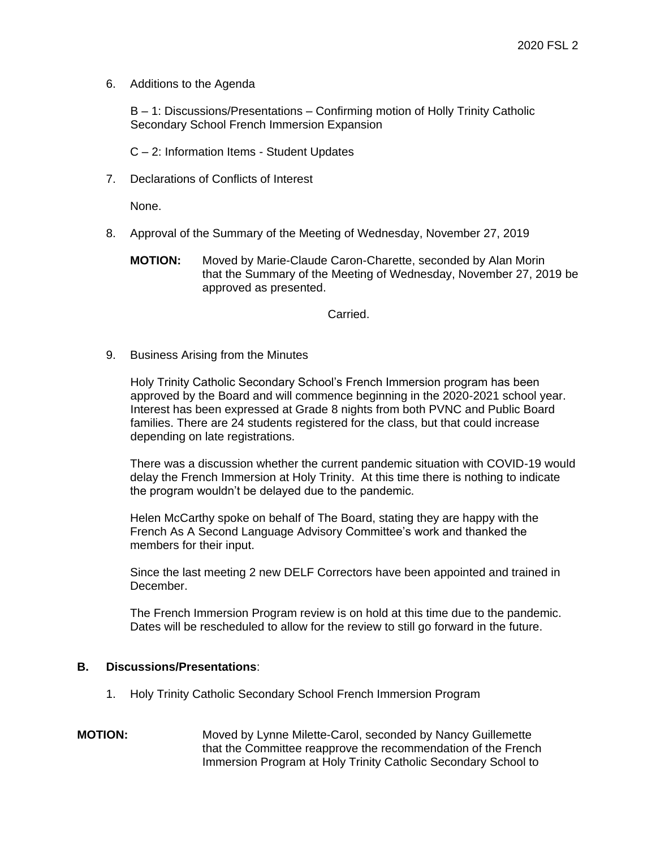6. Additions to the Agenda

B – 1: Discussions/Presentations – Confirming motion of Holly Trinity Catholic Secondary School French Immersion Expansion

C – 2: Information Items - Student Updates

7. Declarations of Conflicts of Interest

None.

- 8. Approval of the Summary of the Meeting of Wednesday, November 27, 2019
	- **MOTION:** Moved by Marie-Claude Caron-Charette, seconded by Alan Morin that the Summary of the Meeting of Wednesday, November 27, 2019 be approved as presented.

Carried.

9. Business Arising from the Minutes

Holy Trinity Catholic Secondary School's French Immersion program has been approved by the Board and will commence beginning in the 2020-2021 school year. Interest has been expressed at Grade 8 nights from both PVNC and Public Board families. There are 24 students registered for the class, but that could increase depending on late registrations.

There was a discussion whether the current pandemic situation with COVID-19 would delay the French Immersion at Holy Trinity. At this time there is nothing to indicate the program wouldn't be delayed due to the pandemic.

Helen McCarthy spoke on behalf of The Board, stating they are happy with the French As A Second Language Advisory Committee's work and thanked the members for their input.

Since the last meeting 2 new DELF Correctors have been appointed and trained in December.

The French Immersion Program review is on hold at this time due to the pandemic. Dates will be rescheduled to allow for the review to still go forward in the future.

## **B. Discussions/Presentations**:

- 1. Holy Trinity Catholic Secondary School French Immersion Program
- **MOTION:** Moved by Lynne Milette-Carol, seconded by Nancy Guillemette that the Committee reapprove the recommendation of the French Immersion Program at Holy Trinity Catholic Secondary School to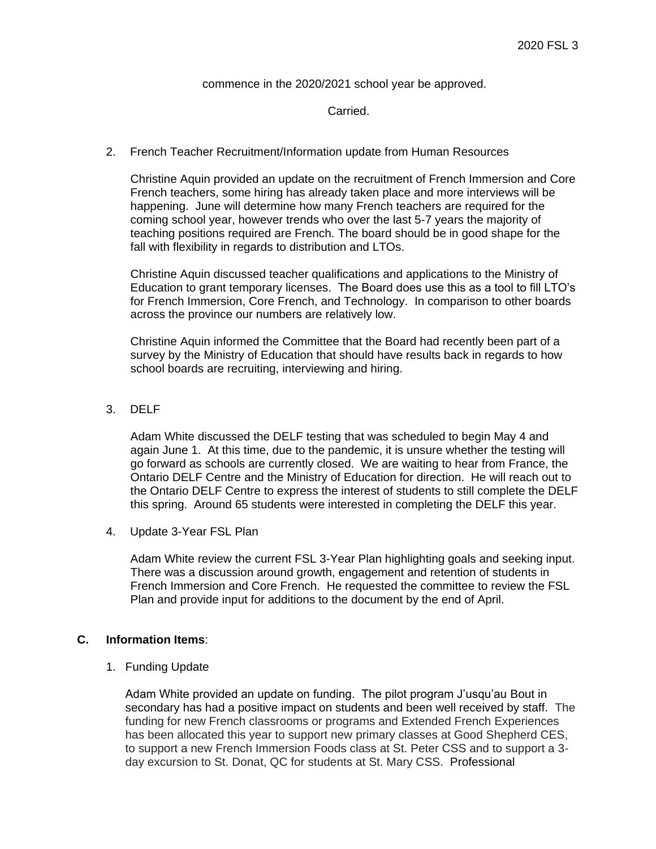commence in the 2020/2021 school year be approved.

#### Carried.

2. French Teacher Recruitment/Information update from Human Resources

Christine Aquin provided an update on the recruitment of French Immersion and Core French teachers, some hiring has already taken place and more interviews will be happening. June will determine how many French teachers are required for the coming school year, however trends who over the last 5-7 years the majority of teaching positions required are French. The board should be in good shape for the fall with flexibility in regards to distribution and LTOs.

Christine Aquin discussed teacher qualifications and applications to the Ministry of Education to grant temporary licenses. The Board does use this as a tool to fill LTO's for French Immersion, Core French, and Technology. In comparison to other boards across the province our numbers are relatively low.

Christine Aquin informed the Committee that the Board had recently been part of a survey by the Ministry of Education that should have results back in regards to how school boards are recruiting, interviewing and hiring.

3. DELF

Adam White discussed the DELF testing that was scheduled to begin May 4 and again June 1. At this time, due to the pandemic, it is unsure whether the testing will go forward as schools are currently closed. We are waiting to hear from France, the Ontario DELF Centre and the Ministry of Education for direction. He will reach out to the Ontario DELF Centre to express the interest of students to still complete the DELF this spring. Around 65 students were interested in completing the DELF this year.

4. Update 3-Year FSL Plan

Adam White review the current FSL 3-Year Plan highlighting goals and seeking input. There was a discussion around growth, engagement and retention of students in French Immersion and Core French. He requested the committee to review the FSL Plan and provide input for additions to the document by the end of April.

## **C. Information Items**:

1. Funding Update

Adam White provided an update on funding. The pilot program J'usqu'au Bout in secondary has had a positive impact on students and been well received by staff. The funding for new French classrooms or programs and Extended French Experiences has been allocated this year to support new primary classes at Good Shepherd CES, to support a new French Immersion Foods class at St. Peter CSS and to support a 3 day excursion to St. Donat, QC for students at St. Mary CSS. Professional